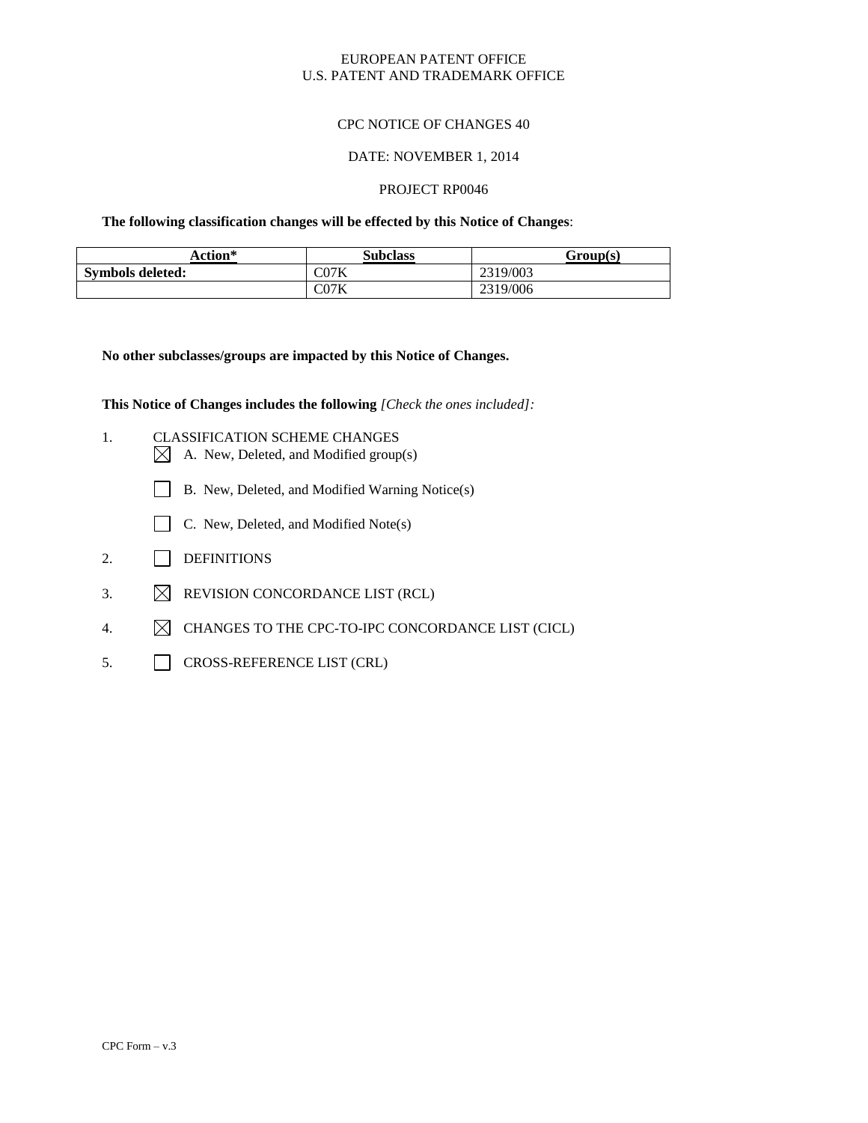### EUROPEAN PATENT OFFICE U.S. PATENT AND TRADEMARK OFFICE

### CPC NOTICE OF CHANGES 40

#### DATE: NOVEMBER 1, 2014

#### PROJECT RP0046

**The following classification changes will be effected by this Notice of Changes**:

| Action*                 | <b>Subclass</b> | Group(s) |
|-------------------------|-----------------|----------|
| <b>Symbols deleted:</b> | $\rm CO7K$      | 2319/003 |
|                         | CO7K            | 2319/006 |

**No other subclasses/groups are impacted by this Notice of Changes.**

**This Notice of Changes includes the following** *[Check the ones included]:*

- 1. CLASSIFICATION SCHEME CHANGES
	- $\boxtimes$  A. New, Deleted, and Modified group(s)
	- B. New, Deleted, and Modified Warning Notice(s)
	- $\Box$  C. New, Deleted, and Modified Note(s)
- 2. DEFINITIONS
- 3.  $\boxtimes$  REVISION CONCORDANCE LIST (RCL)
- 4.  $\boxtimes$  CHANGES TO THE CPC-TO-IPC CONCORDANCE LIST (CICL)
- 5. CROSS-REFERENCE LIST (CRL)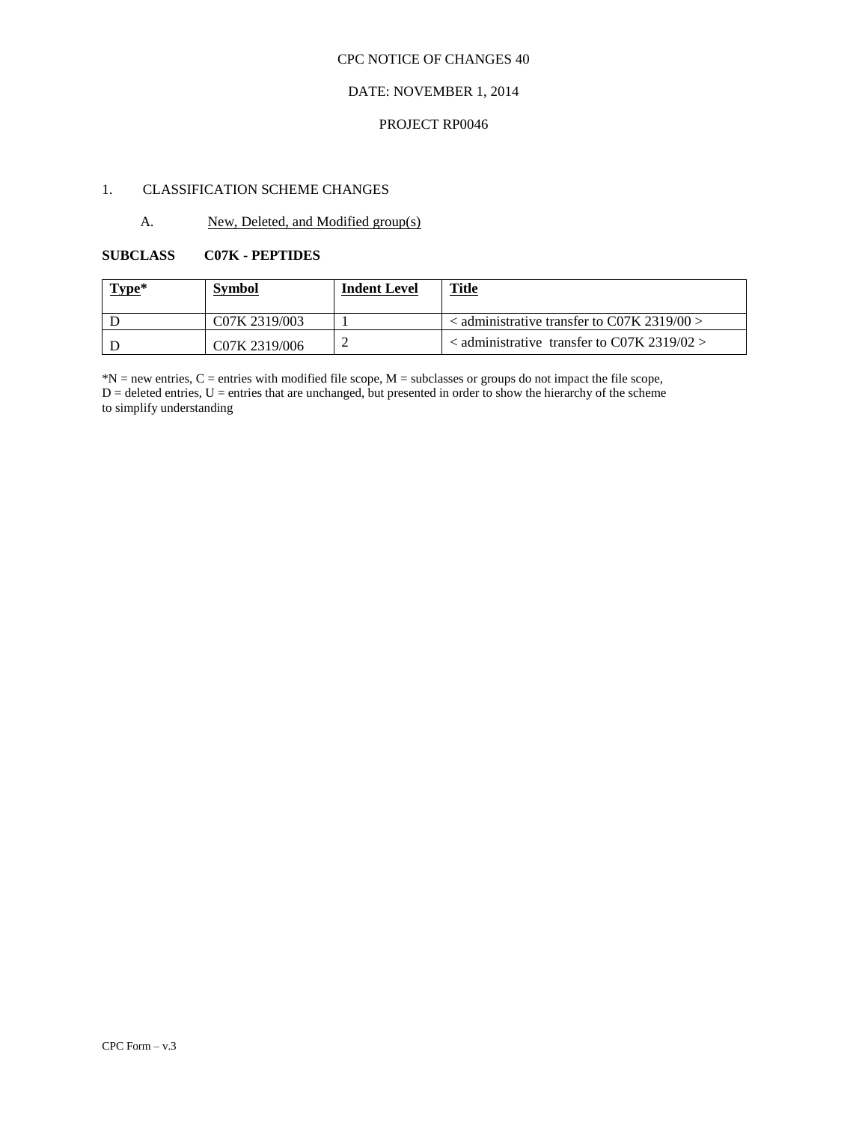## CPC NOTICE OF CHANGES 40

## DATE: NOVEMBER 1, 2014

#### PROJECT RP0046

## 1. CLASSIFICATION SCHEME CHANGES

## A. New, Deleted, and Modified group(s)

## **SUBCLASS C07K - PEPTIDES**

| Type* | <b>Symbol</b> | <b>Indent Level</b> | <u>Title</u>                                         |
|-------|---------------|---------------------|------------------------------------------------------|
|       | C07K 2319/003 |                     | $\alpha$ administrative transfer to C07K 2319/00 $>$ |
|       | C07K 2319/006 |                     | $\alpha$ < administrative transfer to C07K 2319/02 > |

 $*N$  = new entries, C = entries with modified file scope, M = subclasses or groups do not impact the file scope,  $D =$  deleted entries,  $U =$  entries that are unchanged, but presented in order to show the hierarchy of the scheme to simplify understanding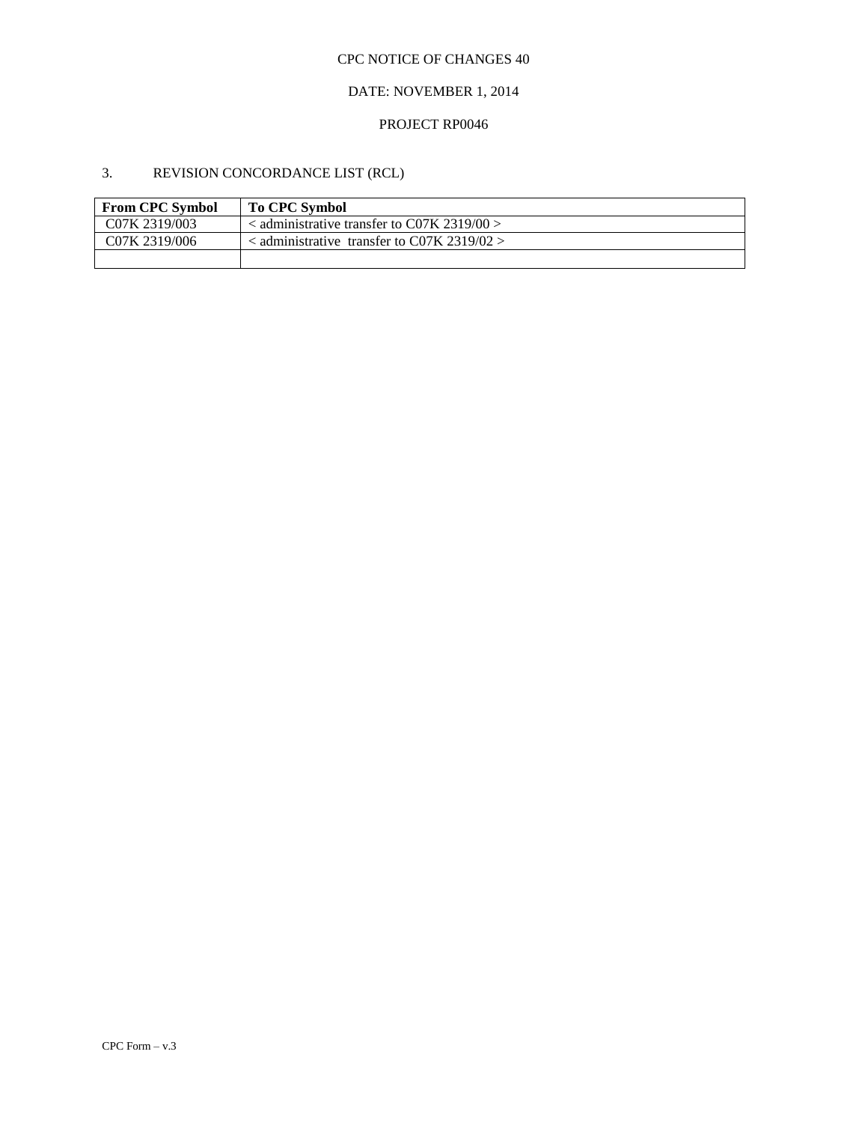## CPC NOTICE OF CHANGES 40

## DATE: NOVEMBER 1, 2014

# PROJECT RP0046

# 3. REVISION CONCORDANCE LIST (RCL)

| <b>From CPC Symbol</b>     | <b>To CPC Symbol</b>                                 |
|----------------------------|------------------------------------------------------|
| C <sub>07</sub> K 2319/003 | $\alpha$ administrative transfer to C07K 2319/00 $>$ |
| C07K 2319/006              | $\alpha$ administrative transfer to C07K 2319/02 $>$ |
|                            |                                                      |